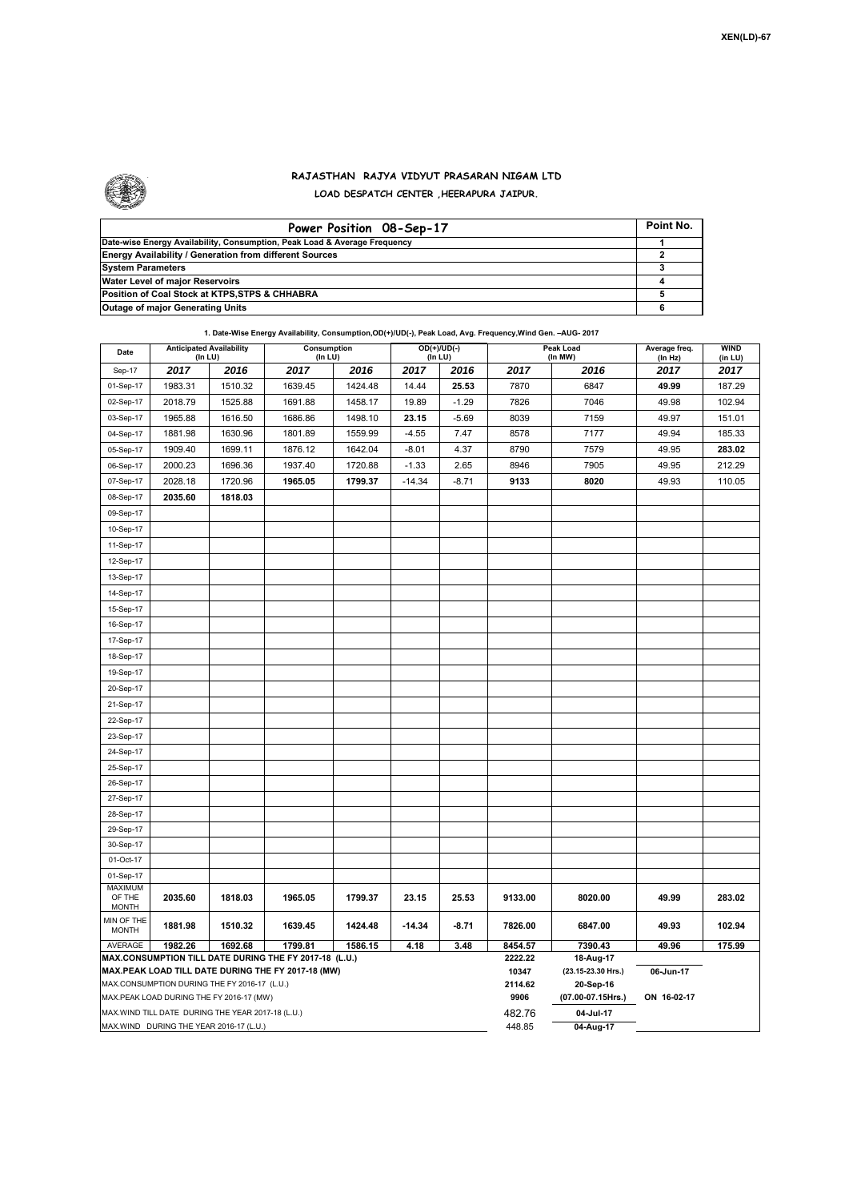

## **RAJASTHAN RAJYA VIDYUT PRASARAN NIGAM LTD LOAD DESPATCH CENTER ,HEERAPURA JAIPUR.**

| Power Position 08-Sep-17                                                  | Point No. |
|---------------------------------------------------------------------------|-----------|
| Date-wise Energy Availability, Consumption, Peak Load & Average Frequency |           |
| <b>Energy Availability / Generation from different Sources</b>            |           |
| <b>System Parameters</b>                                                  |           |
| Water Level of major Reservoirs                                           |           |
| Position of Coal Stock at KTPS, STPS & CHHABRA                            |           |
| <b>Outage of major Generating Units</b>                                   |           |

| Date                                     | <b>Anticipated Availability</b><br>(In LU) |         | Consumption<br>$($ In LU $)$                                                                                 |         |          | $OD(+)/UD(-)$<br>(In LU) |                  | Peak Load<br>(In MW)            | Average freq.<br>(In Hz) | <b>WIND</b><br>(in LU) |  |
|------------------------------------------|--------------------------------------------|---------|--------------------------------------------------------------------------------------------------------------|---------|----------|--------------------------|------------------|---------------------------------|--------------------------|------------------------|--|
| Sep-17                                   | 2017                                       | 2016    | 2017                                                                                                         | 2016    | 2017     | 2016                     | 2017             | 2016                            | 2017                     | 2017                   |  |
| 01-Sep-17                                | 1983.31                                    | 1510.32 | 1639.45                                                                                                      | 1424.48 | 14.44    | 25.53                    | 7870             | 6847                            | 49.99                    | 187.29                 |  |
| 02-Sep-17                                | 2018.79                                    | 1525.88 | 1691.88                                                                                                      | 1458.17 | 19.89    | $-1.29$                  | 7826             | 7046                            | 49.98                    | 102.94                 |  |
| 03-Sep-17                                | 1965.88                                    | 1616.50 | 1686.86                                                                                                      | 1498.10 | 23.15    | $-5.69$                  | 8039             | 7159                            | 49.97                    | 151.01                 |  |
| 04-Sep-17                                | 1881.98                                    | 1630.96 | 1801.89                                                                                                      | 1559.99 | $-4.55$  | 7.47                     | 8578             | 7177                            | 49.94                    | 185.33                 |  |
| 05-Sep-17                                | 1909.40                                    | 1699.11 | 1876.12                                                                                                      | 1642.04 | $-8.01$  | 4.37                     | 8790             | 7579                            | 49.95                    | 283.02                 |  |
| 06-Sep-17                                | 2000.23                                    | 1696.36 | 1937.40                                                                                                      | 1720.88 | $-1.33$  | 2.65                     | 8946             | 7905                            | 49.95                    | 212.29                 |  |
| 07-Sep-17                                | 2028.18                                    | 1720.96 | 1965.05                                                                                                      | 1799.37 | $-14.34$ | $-8.71$                  | 9133             | 8020                            | 49.93                    | 110.05                 |  |
| 08-Sep-17                                | 2035.60                                    | 1818.03 |                                                                                                              |         |          |                          |                  |                                 |                          |                        |  |
| 09-Sep-17                                |                                            |         |                                                                                                              |         |          |                          |                  |                                 |                          |                        |  |
| 10-Sep-17                                |                                            |         |                                                                                                              |         |          |                          |                  |                                 |                          |                        |  |
| 11-Sep-17                                |                                            |         |                                                                                                              |         |          |                          |                  |                                 |                          |                        |  |
| 12-Sep-17                                |                                            |         |                                                                                                              |         |          |                          |                  |                                 |                          |                        |  |
| 13-Sep-17                                |                                            |         |                                                                                                              |         |          |                          |                  |                                 |                          |                        |  |
| 14-Sep-17                                |                                            |         |                                                                                                              |         |          |                          |                  |                                 |                          |                        |  |
| 15-Sep-17                                |                                            |         |                                                                                                              |         |          |                          |                  |                                 |                          |                        |  |
| 16-Sep-17                                |                                            |         |                                                                                                              |         |          |                          |                  |                                 |                          |                        |  |
| 17-Sep-17                                |                                            |         |                                                                                                              |         |          |                          |                  |                                 |                          |                        |  |
| 18-Sep-17                                |                                            |         |                                                                                                              |         |          |                          |                  |                                 |                          |                        |  |
| 19-Sep-17                                |                                            |         |                                                                                                              |         |          |                          |                  |                                 |                          |                        |  |
| 20-Sep-17                                |                                            |         |                                                                                                              |         |          |                          |                  |                                 |                          |                        |  |
| 21-Sep-17                                |                                            |         |                                                                                                              |         |          |                          |                  |                                 |                          |                        |  |
| 22-Sep-17                                |                                            |         |                                                                                                              |         |          |                          |                  |                                 |                          |                        |  |
| 23-Sep-17                                |                                            |         |                                                                                                              |         |          |                          |                  |                                 |                          |                        |  |
| 24-Sep-17                                |                                            |         |                                                                                                              |         |          |                          |                  |                                 |                          |                        |  |
| 25-Sep-17                                |                                            |         |                                                                                                              |         |          |                          |                  |                                 |                          |                        |  |
| 26-Sep-17                                |                                            |         |                                                                                                              |         |          |                          |                  |                                 |                          |                        |  |
| 27-Sep-17                                |                                            |         |                                                                                                              |         |          |                          |                  |                                 |                          |                        |  |
| 28-Sep-17                                |                                            |         |                                                                                                              |         |          |                          |                  |                                 |                          |                        |  |
| 29-Sep-17                                |                                            |         |                                                                                                              |         |          |                          |                  |                                 |                          |                        |  |
| 30-Sep-17                                |                                            |         |                                                                                                              |         |          |                          |                  |                                 |                          |                        |  |
| 01-Oct-17                                |                                            |         |                                                                                                              |         |          |                          |                  |                                 |                          |                        |  |
| 01-Sep-17                                |                                            |         |                                                                                                              |         |          |                          |                  |                                 |                          |                        |  |
| <b>MAXIMUM</b><br>OF THE<br><b>MONTH</b> | 2035.60                                    | 1818.03 | 1965.05                                                                                                      | 1799.37 | 23.15    | 25.53                    | 9133.00          | 8020.00                         | 49.99                    | 283.02                 |  |
| MIN OF THE<br><b>MONTH</b>               | 1881.98                                    | 1510.32 | 1639.45                                                                                                      | 1424.48 | $-14.34$ | $-8.71$                  | 7826.00          | 6847.00                         | 49.93                    | 102.94                 |  |
| AVERAGE                                  | 1982.26                                    | 1692.68 | 1799.81                                                                                                      | 1586.15 | 4.18     | 3.48                     | 8454.57          | 7390.43                         | 49.96                    | 175.99                 |  |
|                                          |                                            |         | MAX.CONSUMPTION TILL DATE DURING THE FY 2017-18 (L.U.)<br>MAX.PEAK LOAD TILL DATE DURING THE FY 2017-18 (MW) |         |          |                          | 2222.22<br>10347 | 18-Aug-17<br>(23.15-23.30 Hrs.) | 06-Jun-17                |                        |  |

MAX.CONSUMPTION DURING THE FY 2016-17 (L.U.)

MAX.PEAK LOAD DURING THE FY 2016-17 (MW)

MAX.WIND TILL DATE DURING THE YEAR 2017-18 (L.U.) MAX.WIND DURING THE YEAR 2016-17 (L.U.)

482.76 **04-Jul-17** 448.85 **04-Aug-17**

**<sup>2114.62 20-</sup>Sep-16 9906 (07.00-07.15Hrs.) ON 16-02-17**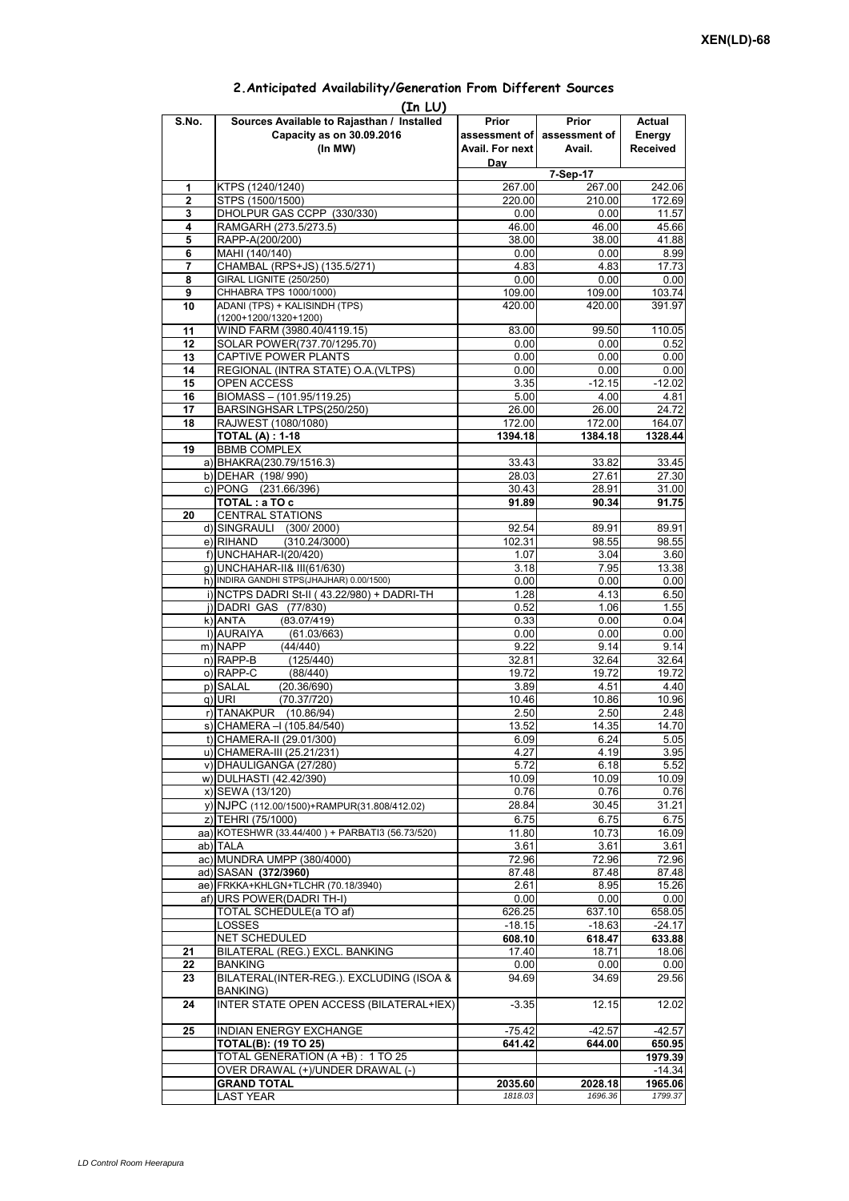## **Prior assessment of Avail. For next Day Prior assessment of Avail. Actual Energy Received 1** KTPS (1240/1240) 267.00 267.00 242.06 **2** STPS (1500/1500)<br> **220.00** 210.00 172.69<br> **220.00** 210.00 11.57<br> **220.00** 20.00 11.57 **3** DHOLPUR GAS CCPP (330/330) 4 RAMGARH (273.5/273.5) 46.00 46.00 46.00 45.66<br> **5** RAPP-A(200/200) 41.88 **5** RAPP-A(200/200) **38.00** 38.00 **6** MAHI (140/140) **38.00 6** MAHI (140/140) 0.00 0.00 8.99 **7** CHAMBAL (RPS+JS) (135.5/271) 4.83 4.83 17.73 **8** GIRAL LIGNITE (250/250) **0.00** 0.00 0.00 0.00 0.00<br>**9** CHHABRA TPS 1000/1000) 0.00 109.00 109.00 103.74 **9** CHHABRA TPS 1000/1000) **10** ADANI (TPS) + KALISINDH (TPS) (1200+1200/1320+1200) 420.00 420.00 391.97 **11** WIND FARM (3980.40/4119.15) 83.00 99.50 110.05 12 SOLAR POWER(737.70/1295.70) 0.00 0.00 0.52 **13** CAPTIVE POWER PLANTS 0.00 0.00 0.00 0.00 **14** REGIONAL (INTRA STATE) O.A.(VLTPS) 0.00 0.00 0.00 0.00 0.00 15 OPEN ACCESS 3.35 -12.15 -12.02<br>16 BIOMASS – (101.95/119.25) 5.00 4.00 4.81 **BIOMASS – (101.95/119.25) 17** BARSINGHSAR LTPS(250/250) 26.00 26.00 24.72 **18** RAJWEST (1080/1080) 164.07 **TOTAL (A) : 1-18 1394.18 1384.18 1328.44 19** BBMB COMPLEX a) BHAKRA(230.79/1516.3) 33.43 33.43 33.82 33.45<br>b) DEHAR (198/990) 28.03 27.61 27.30 b) DEHAR (198/ 990) c) PONG (231.66/396) 30.43 28.91 31.00 **TOTAL : a TO c** 81.89 91.89 90.34 91.75 **20** CENTRAL STATIONS d) SINGRAULI (300/ 2000) 92.54 89.91 89.91  $(310.24/3000)$ f) 1.07 3.04 3.60 g) UNCHAHAR-II& III(61/630) 3.18 7.95 13.38 h) INDIRA GANDHI STPS(JHAJHAR) 0.00/1500) 0.00 0.00 0.00 0.00 0.00 0.00 i)  $NCTPS$  DADRI St-II (43.22/980) + DADRI-TH 1.28 4.13 6.50 j) DADRI GAS (77/830) 0.52 1.06 1.55 k)|ANTA (83.07/419) 0.33 0.00 0.04<br>1)|AURAIYA (61.03/663) 0.00 0.00 0.00 0.00 **(In LU) S.No. Sources Available to Rajasthan / Installed Capacity as on 30.09.2016 (In MW) 7-Sep-17** ANTA (83.07/419)0.330.000.04l) AURAIYA (61.03/663) 0.00 0.00 0.00 m) NAPP (44/440) 9.22 9.14 9.14 n) RAPP-B (125/440) 32.81 32.64 32.64 o) RAPP-C (88/440) 19.72 19.72 19.72 p) SALAL (20.36/690) 3.89 4.51 4.40<br>q) URI (70.37/720) 4.51 10.86 10.96 q) URI (70.37/720) 10.46 10.86 10.96 r) TANAKPUR (10.86/94) 2.50 2.48<br>s) CHAMERA –I (105.84/540) 13.52 14.35 14.70  $\overline{s}$ ) CHAMERA –I (105.84/540) t) CHAMERA-II (29.01/300) 6.09 6.24 5.05 u) CHAMERA-III (25.21/231) 4.27 4.27 4.19 3.95 v) DHAULIGANGA (27/280)  $\begin{array}{ccc} \hspace{1.6cm} & \hspace{1.6cm} & \hspace{1.6cm} & \hspace{1.6cm} & \hspace{1.6cm} & \hspace{1.6cm} & \hspace{1.6cm} & \hspace{1.6cm} & \hspace{1.6cm} & \hspace{1.6cm} & \hspace{1.6cm} & \hspace{1.6cm} & \hspace{1.6cm} & \hspace{1.6cm} & \hspace{1.6cm} & \hspace{1.6cm} & \hspace{1.6cm} & \hspace{1.6cm} & \hspace{1.6cm} &$ w) DULHASTI (42.42/390) 10.09 10.09 10.09 10.09 x) SEWA (13/120) 0.76 0.76 0.76 0.76 0.76 0.76 <br>y) NJPC (112.00/1500)+RAMPUR(31.808/412.02) 28.84 30.45 31.21 y) NJPC (112.00/1500)+RAMPUR(31.808/412.02) 28.84 30.45 z) TEHRI (75/1000) 6.75 6.75 6.75 aa) KOTESHWR (33.44/400) + PARBATI3 (56.73/520) ab) TALA 3.61 3.61 3.61 ac) MUNDRA UMPP (380/4000) 72.96 72.96 72.96 ad) SASAN **(372/3960)** 87.48 87.48 87.48 87.48 87.48 87.48 87.48 87.48 87.48 87.48 87.48 87.48 87.48 87.48 87.48 87.48 87.48 87.48 87.48 87.48 87.48 87.48 87.48 87.48 87.48 87.48 87.48 87.48 87.48 87.48 87.48 87.48 87.48 8 ae) FRKKA+KHLGN+TLCHR (70.18/3940) af) URS POWER(DADRI TH-I) 2000 0.00 0.00 0.00 TOTAL SCHEDULE(a TO af) 626.25 637.10 658.05 LOSSES -18.15 -18.63 -24.17 NET SCHEDULED **608.10 618.47 633.88 21** BILATERAL (REG.) EXCL. BANKING 17.40 17.40 18.71 18.06 **22** BANKING 0.00 0.00 0.00 **23** BILATERAL(INTER-REG.). EXCLUDING (ISOA & BANKING) 94.69 34.69 29.56 **24** INTER STATE OPEN ACCESS (BILATERAL+IEX) -3.35 12.15 12.02 **25** INDIAN ENERGY EXCHANGE -75.42 -75.42 -42.57 -42.57 **TOTAL(B): (19 TO 25) 641.42 644.00 650.95** TOTAL GENERATION (A +B) : 1 TO 25 **1979.39**<br>
OVER DRAWAL (+)/UNDER DRAWAL (-) 41.34 OVER DRAWAL (+)/UNDER DRAWAL (-) **GRAND TOTAL 2035.60** 2035.60 2028.18 1965.06 LAST YEAR *1818.03 1696.36 1799.37*

## **2.Anticipated Availability/Generation From Different Sources**